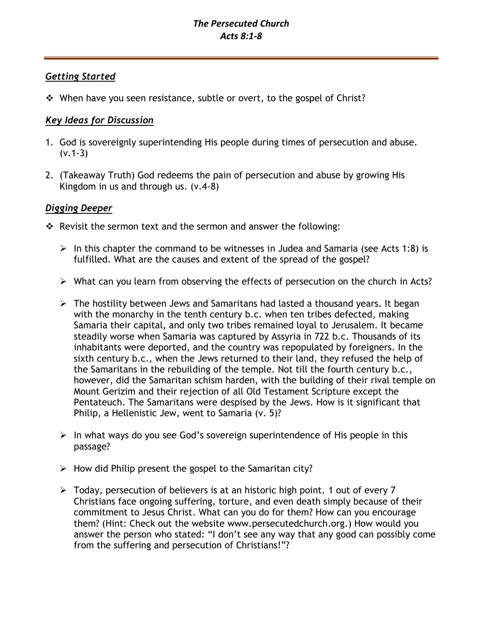# *Getting Started*

❖ When have you seen resistance, subtle or overt, to the gospel of Christ?

# *Key Ideas for Discussion*

- 1. God is sovereignly superintending His people during times of persecution and abuse.  $(v.1-3)$
- 2. (Takeaway Truth) God redeems the pain of persecution and abuse by growing His Kingdom in us and through us. (v.4-8)

## *Digging Deeper*

- ❖ Revisit the sermon text and the sermon and answer the following:
	- $\triangleright$  In this chapter the command to be witnesses in Judea and Samaria (see Acts 1:8) is fulfilled. What are the causes and extent of the spread of the gospel?
	- ➢ What can you learn from observing the effects of persecution on the church in Acts?
	- ➢ The hostility between Jews and Samaritans had lasted a thousand years. It began with the monarchy in the tenth century b.c. when ten tribes defected, making Samaria their capital, and only two tribes remained loyal to Jerusalem. It became steadily worse when Samaria was captured by Assyria in 722 b.c. Thousands of its inhabitants were deported, and the country was repopulated by foreigners. In the sixth century b.c., when the Jews returned to their land, they refused the help of the Samaritans in the rebuilding of the temple. Not till the fourth century b.c., however, did the Samaritan schism harden, with the building of their rival temple on Mount Gerizim and their rejection of all Old Testament Scripture except the Pentateuch. The Samaritans were despised by the Jews. How is it significant that Philip, a Hellenistic Jew, went to Samaria (v. 5)?
	- $\triangleright$  In what ways do you see God's sovereign superintendence of His people in this passage?
	- $\triangleright$  How did Philip present the gospel to the Samaritan city?
	- ➢ Today, persecution of believers is at an historic high point. 1 out of every 7 Christians face ongoing suffering, torture, and even death simply because of their commitment to Jesus Christ. What can you do for them? How can you encourage them? (Hint: Check out the website www.persecutedchurch.org.) How would you answer the person who stated: "I don't see any way that any good can possibly come from the suffering and persecution of Christians!"?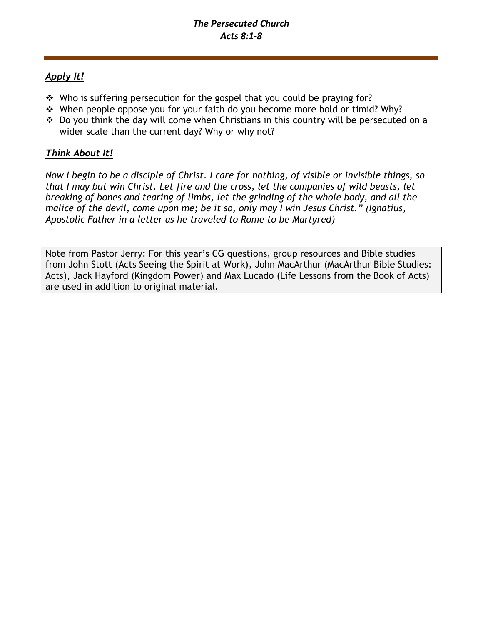# *Apply It!*

- ❖ Who is suffering persecution for the gospel that you could be praying for?
- ❖ When people oppose you for your faith do you become more bold or timid? Why?
- ❖ Do you think the day will come when Christians in this country will be persecuted on a wider scale than the current day? Why or why not?

# *Think About It!*

*Now I begin to be a disciple of Christ. I care for nothing, of visible or invisible things, so that I may but win Christ. Let fire and the cross, let the companies of wild beasts, let breaking of bones and tearing of limbs, let the grinding of the whole body, and all the malice of the devil, come upon me; be it so, only may I win Jesus Christ." (Ignatius, Apostolic Father in a letter as he traveled to Rome to be Martyred)*

Note from Pastor Jerry: For this year's CG questions, group resources and Bible studies from John Stott (Acts Seeing the Spirit at Work), John MacArthur (MacArthur Bible Studies: Acts), Jack Hayford (Kingdom Power) and Max Lucado (Life Lessons from the Book of Acts) are used in addition to original material.